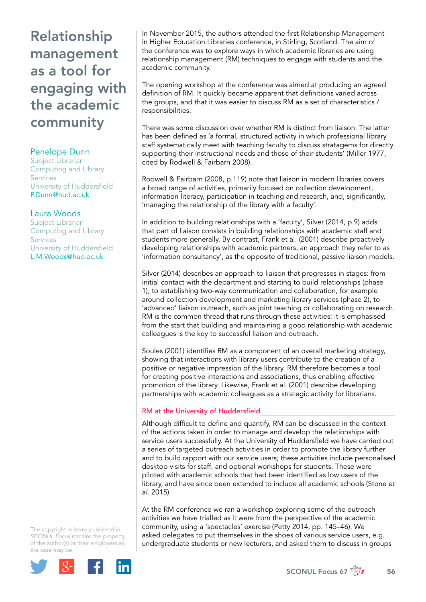# Relationship management as a tool for engaging with the academic community

## Penelope Dunn

Subject Librarian Computing and Library **Services** University of Huddersfield [P.Dunn@hud.ac.uk](mailto:P.Dunn@hud.ac.uk)

### Laura Woods

Subject Librarian Computing and Library **Services** University of Huddersfield [L.M.Woods@hud.ac.uk](mailto:L.M.Woods@hud.ac.uk) 

The copyright in items published in *SCONUL Focus* remains the property of the author(s) or their employers as the case may be.



In November 2015, the authors attended the first Relationship Management in Higher Education Libraries conference, in Stirling, Scotland. The aim of the conference was to explore ways in which academic libraries are using relationship management (RM) techniques to engage with students and the academic community.

The opening workshop at the conference was aimed at producing an agreed definition of RM. It quickly became apparent that definitions varied across the groups, and that it was easier to discuss RM as a set of characteristics / responsibilities.

There was some discussion over whether RM is distinct from liaison. The latter has been defined as 'a formal, structured activity in which professional library staff systematically meet with teaching faculty to discuss stratagems for directly supporting their instructional needs and those of their students' (Miller 1977, cited by Rodwell & Fairbarn 2008).

Rodwell & Fairbarn (2008, p.119) note that liaison in modern libraries covers a broad range of activities, primarily focused on collection development, information literacy, participation in teaching and research, and, significantly, 'managing the relationship of the library with a faculty'.

In addition to building relationships with a 'faculty', Silver (2014, p.9) adds that part of liaison consists in building relationships with academic staff and students more generally. By contrast, Frank et al. (2001) describe proactively developing relationships with academic partners, an approach they refer to as 'information consultancy', as the opposite of traditional, passive liaison models.

Silver (2014) describes an approach to liaison that progresses in stages: from initial contact with the department and starting to build relationships (phase 1), to establishing two-way communication and collaboration, for example around collection development and marketing library services (phase 2), to 'advanced' liaison outreach, such as joint teaching or collaborating on research. RM is the common thread that runs through these activities: it is emphasised from the start that building and maintaining a good relationship with academic colleagues is the key to successful liaison and outreach.

Soules (2001) identifies RM as a component of an overall marketing strategy, showing that interactions with library users contribute to the creation of a positive or negative impression of the library. RM therefore becomes a tool for creating positive interactions and associations, thus enabling effective promotion of the library. Likewise, Frank et al. (2001) describe developing partnerships with academic colleagues as a strategic activity for librarians.

### RM at the University of Huddersfield

Although difficult to define and quantify, RM can be discussed in the context of the actions taken in order to manage and develop the relationships with service users successfully. At the University of Huddersfield we have carried out a series of targeted outreach activities in order to promote the library further and to build rapport with our service users; these activities include personalised desktop visits for staff, and optional workshops for students. These were piloted with academic schools that had been identified as low users of the library, and have since been extended to include all academic schools (Stone *et al*. 2015).

At the RM conference we ran a workshop exploring some of the outreach activities we have trialled as it were from the perspective of the academic community, using a 'spectacles' exercise (Petty 2014, pp. 145–46). We asked delegates to put themselves in the shoes of various service users, e.g. undergraduate students or new lecturers, and asked them to discuss in groups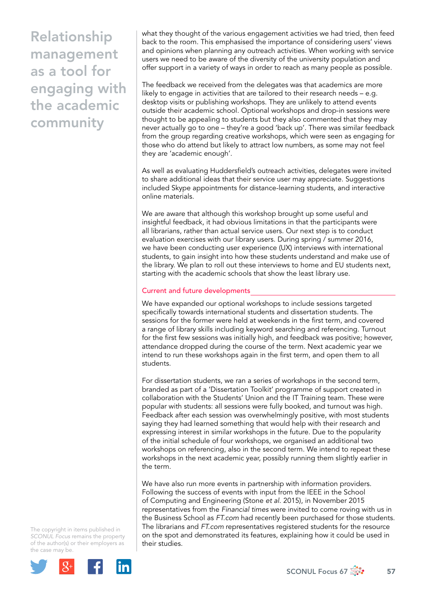Relationship management as a tool for engaging with the academic community

what they thought of the various engagement activities we had tried, then feed back to the room. This emphasised the importance of considering users' views and opinions when planning any outreach activities. When working with service users we need to be aware of the diversity of the university population and offer support in a variety of ways in order to reach as many people as possible.

The feedback we received from the delegates was that academics are more likely to engage in activities that are tailored to their research needs – e.g. desktop visits or publishing workshops. They are unlikely to attend events outside their academic school. Optional workshops and drop-in sessions were thought to be appealing to students but they also commented that they may never actually go to one – they're a good 'back up'. There was similar feedback from the group regarding creative workshops, which were seen as engaging for those who do attend but likely to attract low numbers, as some may not feel they are 'academic enough'.

As well as evaluating Huddersfield's outreach activities, delegates were invited to share additional ideas that their service user may appreciate. Suggestions included Skype appointments for distance-learning students, and interactive online materials.

We are aware that although this workshop brought up some useful and insightful feedback, it had obvious limitations in that the participants were all librarians, rather than actual service users. Our next step is to conduct evaluation exercises with our library users. During spring / summer 2016, we have been conducting user experience (UX) interviews with international students, to gain insight into how these students understand and make use of the library. We plan to roll out these interviews to home and EU students next, starting with the academic schools that show the least library use.

#### Current and future developments

We have expanded our optional workshops to include sessions targeted specifically towards international students and dissertation students. The sessions for the former were held at weekends in the first term, and covered a range of library skills including keyword searching and referencing. Turnout for the first few sessions was initially high, and feedback was positive; however, attendance dropped during the course of the term. Next academic year we intend to run these workshops again in the first term, and open them to all students.

For dissertation students, we ran a series of workshops in the second term, branded as part of a 'Dissertation Toolkit' programme of support created in collaboration with the Students' Union and the IT Training team. These were popular with students: all sessions were fully booked, and turnout was high. Feedback after each session was overwhelmingly positive, with most students saying they had learned something that would help with their research and expressing interest in similar workshops in the future. Due to the popularity of the initial schedule of four workshops, we organised an additional two workshops on referencing, also in the second term. We intend to repeat these workshops in the next academic year, possibly running them slightly earlier in the term.

We have also run more events in partnership with information providers. Following the success of events with input from the IEEE in the School of Computing and Engineering (Stone *et al*. 2015), in November 2015 representatives from the *Financial times* were invited to come roving with us in the Business School as *FT.com* had recently been purchased for those students. The librarians and *FT.com* representatives registered students for the resource on the spot and demonstrated its features, explaining how it could be used in their studies.

The copyright in items published in *SCONUL Focus* remains the property of the author(s) or their employers as the case may be.



SCONUL Focus 67  $\frac{1}{200}$  57